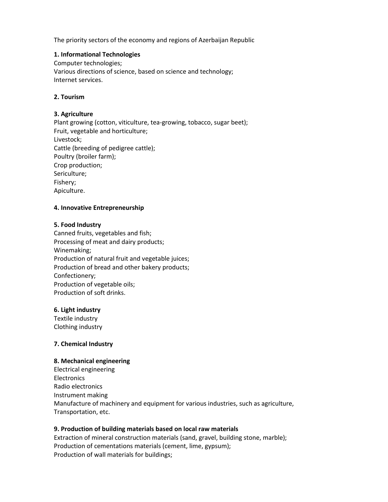The priority sectors of the economy and regions of Azerbaijan Republic

### **1. Informational Technologies**

Computer technologies; Various directions of science, based on science and technology; Internet services.

## **2. Tourism**

## **3. Agriculture**

Plant growing (cotton, viticulture, tea-growing, tobacco, sugar beet); Fruit, vegetable and horticulture; Livestock; Cattle (breeding of pedigree cattle); Poultry (broiler farm); Crop production; Sericulture; Fishery; Apiculture.

## **4. Innovative Entrepreneurship**

#### **5. Food Industry**

Canned fruits, vegetables and fish; Processing of meat and dairy products; Winemaking; Production of natural fruit and vegetable juices; Production of bread and other bakery products; Confectionery; Production of vegetable oils; Production of soft drinks.

#### **6. Light industry**

Textile industry Clothing industry

#### **7. Chemical Industry**

#### **8. Mechanical engineering**

Electrical engineering Electronics Radio electronics Instrument making Manufacture of machinery and equipment for various industries, such as agriculture, Transportation, etc.

# **9. Production of building materials based on local raw materials**

Extraction of mineral construction materials (sand, gravel, building stone, marble); Production of cementations materials (cement, lime, gypsum); Production of wall materials for buildings;